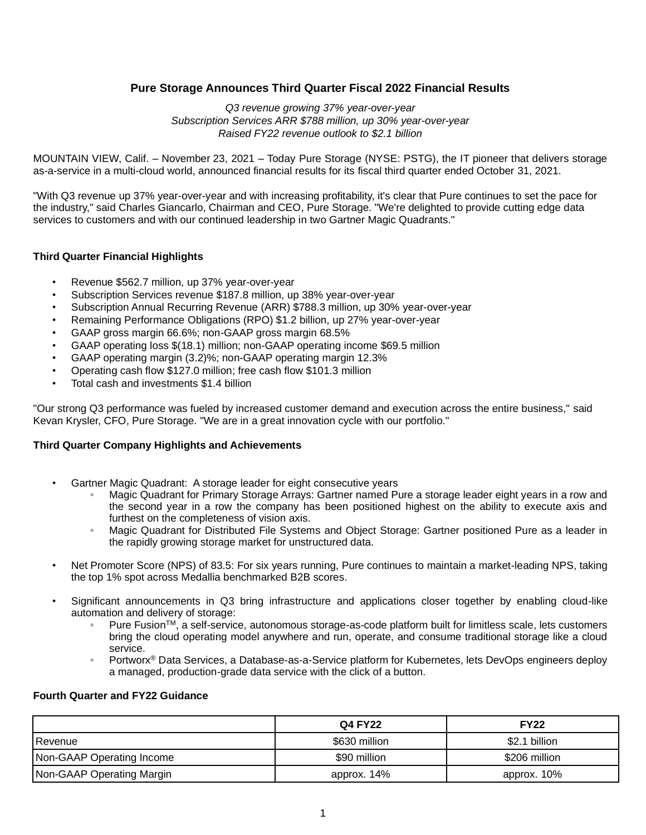# **Pure Storage Announces Third Quarter Fiscal 2022 Financial Results**

*Q3 revenue growing 37% year-over-year Subscription Services ARR \$788 million, up 30% year-over-year Raised FY22 revenue outlook to \$2.1 billion*

MOUNTAIN VIEW, Calif. – November 23, 2021 – Today Pure Storage (NYSE: PSTG), the IT pioneer that delivers storage as-a-service in a multi-cloud world, announced financial results for its fiscal third quarter ended October 31, 2021.

"With Q3 revenue up 37% year-over-year and with increasing profitability, it's clear that Pure continues to set the pace for the industry," said Charles Giancarlo, Chairman and CEO, Pure Storage. "We're delighted to provide cutting edge data services to customers and with our continued leadership in two Gartner Magic Quadrants."

#### **Third Quarter Financial Highlights**

- Revenue \$562.7 million, up 37% year-over-year
- Subscription Services revenue \$187.8 million, up 38% year-over-year
- Subscription Annual Recurring Revenue (ARR) \$788.3 million, up 30% year-over-year
- Remaining Performance Obligations (RPO) \$1.2 billion, up 27% year-over-year
- GAAP gross margin 66.6%; non-GAAP gross margin 68.5%
- GAAP operating loss \$(18.1) million; non-GAAP operating income \$69.5 million
- GAAP operating margin (3.2)%; non-GAAP operating margin 12.3%
- Operating cash flow \$127.0 million; free cash flow \$101.3 million
- Total cash and investments \$1.4 billion

"Our strong Q3 performance was fueled by increased customer demand and execution across the entire business," said Kevan Krysler, CFO, Pure Storage. "We are in a great innovation cycle with our portfolio."

#### **Third Quarter Company Highlights and Achievements**

- Gartner Magic Quadrant: A storage leader for eight consecutive years
	- Magic Quadrant for Primary Storage Arrays: Gartner named Pure a storage leader eight years in a row and the second year in a row the company has been positioned highest on the ability to execute axis and furthest on the completeness of vision axis.
	- Magic Quadrant for Distributed File Systems and Object Storage: Gartner positioned Pure as a leader in the rapidly growing storage market for unstructured data.
- Net Promoter Score (NPS) of 83.5: For six years running, Pure continues to maintain a market-leading NPS, taking the top 1% spot across Medallia benchmarked B2B scores.
- Significant announcements in Q3 bring infrastructure and applications closer together by enabling cloud-like automation and delivery of storage:
	- Pure Fusion™, a self-service, autonomous storage-as-code platform built for limitless scale, lets customers bring the cloud operating model anywhere and run, operate, and consume traditional storage like a cloud service.
	- Portworx<sup>®</sup> Data Services, a Database-as-a-Service platform for Kubernetes, lets DevOps engineers deploy a managed, production-grade data service with the click of a button.

## **Fourth Quarter and FY22 Guidance**

|                           | <b>Q4 FY22</b> | <b>FY22</b>   |
|---------------------------|----------------|---------------|
| Revenue                   | \$630 million  | \$2.1 billion |
| Non-GAAP Operating Income | \$90 million   | \$206 million |
| Non-GAAP Operating Margin | approx. 14%    | approx. 10%   |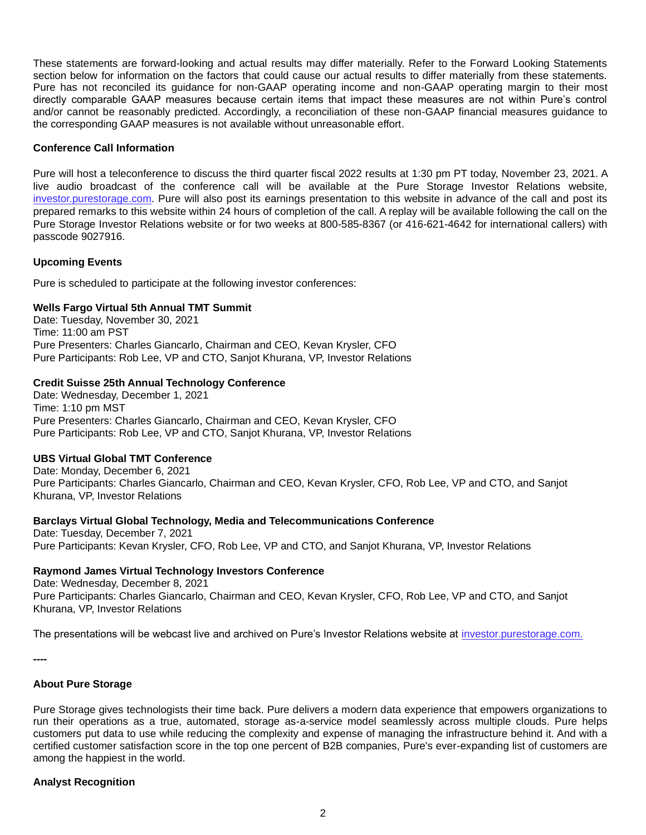These statements are forward-looking and actual results may differ materially. Refer to the Forward Looking Statements section below for information on the factors that could cause our actual results to differ materially from these statements. Pure has not reconciled its guidance for non-GAAP operating income and non-GAAP operating margin to their most directly comparable GAAP measures because certain items that impact these measures are not within Pure's control and/or cannot be reasonably predicted. Accordingly, a reconciliation of these non-GAAP financial measures guidance to the corresponding GAAP measures is not available without unreasonable effort.

#### **Conference Call Information**

Pure will host a teleconference to discuss the third quarter fiscal 2022 results at 1:30 pm PT today, November 23, 2021. A live audio broadcast of the conference call will be available at the Pure Storage Investor Relations website, investor.purestorage.com. Pure will also post its earnings presentation to this website in advance of the call and post its prepared remarks to this website within 24 hours of completion of the call. A replay will be available following the call on the Pure Storage Investor Relations website or for two weeks at 800-585-8367 (or 416-621-4642 for international callers) with passcode 9027916.

#### **Upcoming Events**

Pure is scheduled to participate at the following investor conferences:

#### **Wells Fargo Virtual 5th Annual TMT Summit**

Date: Tuesday, November 30, 2021 Time: 11:00 am PST Pure Presenters: Charles Giancarlo, Chairman and CEO, Kevan Krysler, CFO Pure Participants: Rob Lee, VP and CTO, Sanjot Khurana, VP, Investor Relations

## **Credit Suisse 25th Annual Technology Conference**

Date: Wednesday, December 1, 2021 Time: 1:10 pm MST Pure Presenters: Charles Giancarlo, Chairman and CEO, Kevan Krysler, CFO Pure Participants: Rob Lee, VP and CTO, Sanjot Khurana, VP, Investor Relations

## **UBS Virtual Global TMT Conference**

Date: Monday, December 6, 2021 Pure Participants: Charles Giancarlo, Chairman and CEO, Kevan Krysler, CFO, Rob Lee, VP and CTO, and Sanjot Khurana, VP, Investor Relations

## **Barclays Virtual Global Technology, Media and Telecommunications Conference**

Date: Tuesday, December 7, 2021 Pure Participants: Kevan Krysler, CFO, Rob Lee, VP and CTO, and Sanjot Khurana, VP, Investor Relations

## **Raymond James Virtual Technology Investors Conference**

Date: Wednesday, December 8, 2021 Pure Participants: Charles Giancarlo, Chairman and CEO, Kevan Krysler, CFO, Rob Lee, VP and CTO, and Sanjot Khurana, VP, Investor Relations

The presentations will be webcast live and archived on Pure's Investor Relations website at investor.purestorage.com.

**----**

## **About Pure Storage**

Pure Storage gives technologists their time back. Pure delivers a modern data experience that empowers organizations to run their operations as a true, automated, storage as-a-service model seamlessly across multiple clouds. Pure helps customers put data to use while reducing the complexity and expense of managing the infrastructure behind it. And with a certified customer satisfaction score in the top one percent of B2B companies, Pure's ever-expanding list of customers are among the happiest in the world.

## **Analyst Recognition**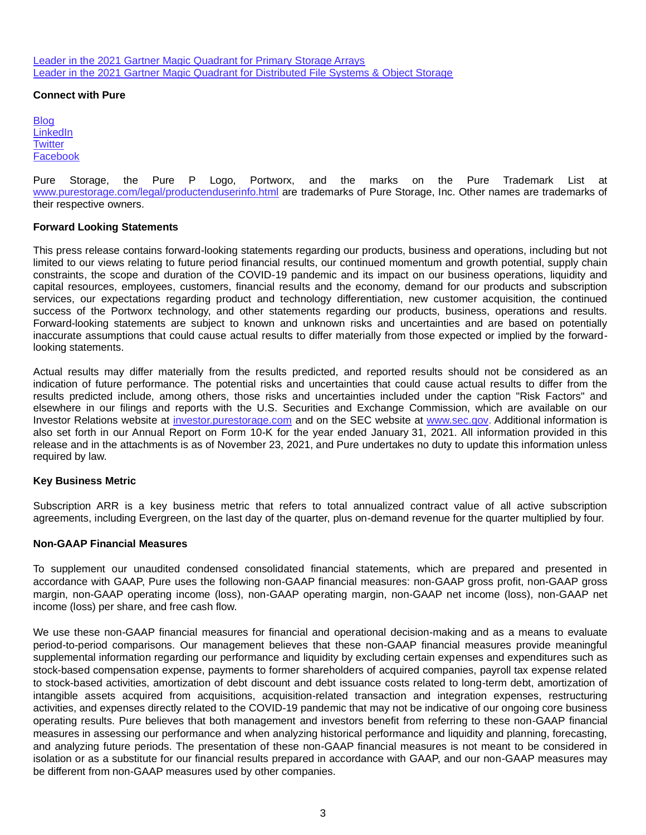Leader in the 2021 Gartner Magic Quadrant for Primary Storage Arrays Leader in the 2021 Gartner Magic Quadrant for Distributed File Systems & Object Storage

#### **Connect with Pure**

**Blog LinkedIn Twitter** Facebook

Pure Storage, the Pure P Logo, Portworx, and the marks on the Pure Trademark List at www.purestorage.com/legal/productenduserinfo.html are trademarks of Pure Storage, Inc. Other names are trademarks of their respective owners.

#### **Forward Looking Statements**

This press release contains forward-looking statements regarding our products, business and operations, including but not limited to our views relating to future period financial results, our continued momentum and growth potential, supply chain constraints, the scope and duration of the COVID-19 pandemic and its impact on our business operations, liquidity and capital resources, employees, customers, financial results and the economy, demand for our products and subscription services, our expectations regarding product and technology differentiation, new customer acquisition, the continued success of the Portworx technology, and other statements regarding our products, business, operations and results. Forward-looking statements are subject to known and unknown risks and uncertainties and are based on potentially inaccurate assumptions that could cause actual results to differ materially from those expected or implied by the forwardlooking statements.

Actual results may differ materially from the results predicted, and reported results should not be considered as an indication of future performance. The potential risks and uncertainties that could cause actual results to differ from the results predicted include, among others, those risks and uncertainties included under the caption "Risk Factors" and elsewhere in our filings and reports with the U.S. Securities and Exchange Commission, which are available on our Investor Relations website at investor.purestorage.com and on the SEC website at www.sec.gov. Additional information is also set forth in our Annual Report on Form 10-K for the year ended January 31, 2021. All information provided in this release and in the attachments is as of November 23, 2021, and Pure undertakes no duty to update this information unless required by law.

#### **Key Business Metric**

Subscription ARR is a key business metric that refers to total annualized contract value of all active subscription agreements, including Evergreen, on the last day of the quarter, plus on-demand revenue for the quarter multiplied by four.

#### **Non-GAAP Financial Measures**

To supplement our unaudited condensed consolidated financial statements, which are prepared and presented in accordance with GAAP, Pure uses the following non-GAAP financial measures: non-GAAP gross profit, non-GAAP gross margin, non-GAAP operating income (loss), non-GAAP operating margin, non-GAAP net income (loss), non-GAAP net income (loss) per share, and free cash flow.

We use these non-GAAP financial measures for financial and operational decision-making and as a means to evaluate period-to-period comparisons. Our management believes that these non-GAAP financial measures provide meaningful supplemental information regarding our performance and liquidity by excluding certain expenses and expenditures such as stock-based compensation expense, payments to former shareholders of acquired companies, payroll tax expense related to stock-based activities, amortization of debt discount and debt issuance costs related to long-term debt, amortization of intangible assets acquired from acquisitions, acquisition-related transaction and integration expenses, restructuring activities, and expenses directly related to the COVID-19 pandemic that may not be indicative of our ongoing core business operating results. Pure believes that both management and investors benefit from referring to these non-GAAP financial measures in assessing our performance and when analyzing historical performance and liquidity and planning, forecasting, and analyzing future periods. The presentation of these non-GAAP financial measures is not meant to be considered in isolation or as a substitute for our financial results prepared in accordance with GAAP, and our non-GAAP measures may be different from non-GAAP measures used by other companies.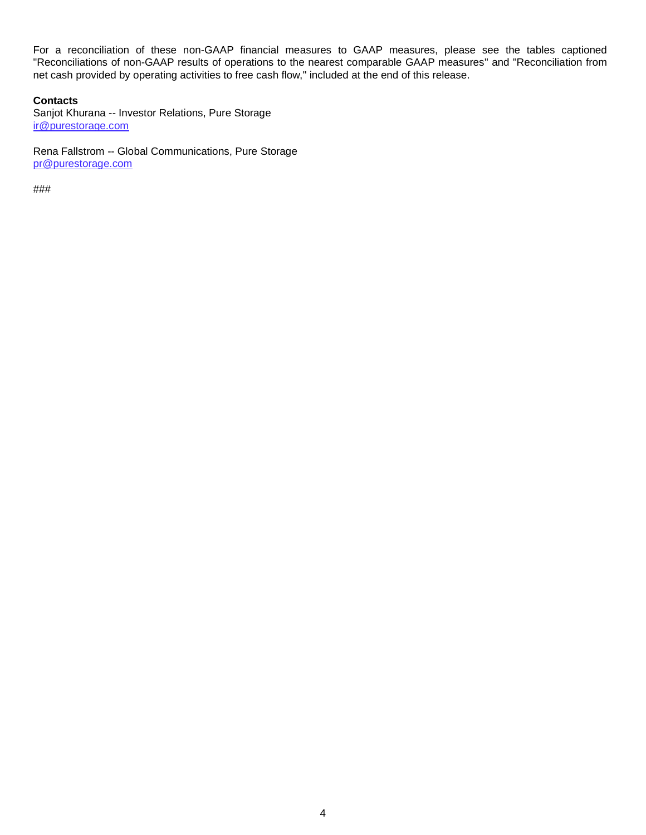For a reconciliation of these non-GAAP financial measures to GAAP measures, please see the tables captioned "Reconciliations of non-GAAP results of operations to the nearest comparable GAAP measures" and "Reconciliation from net cash provided by operating activities to free cash flow," included at the end of this release.

## **Contacts**

Sanjot Khurana -- Investor Relations, Pure Storage ir@purestorage.com

Rena Fallstrom -- Global Communications, Pure Storage pr@purestorage.com

###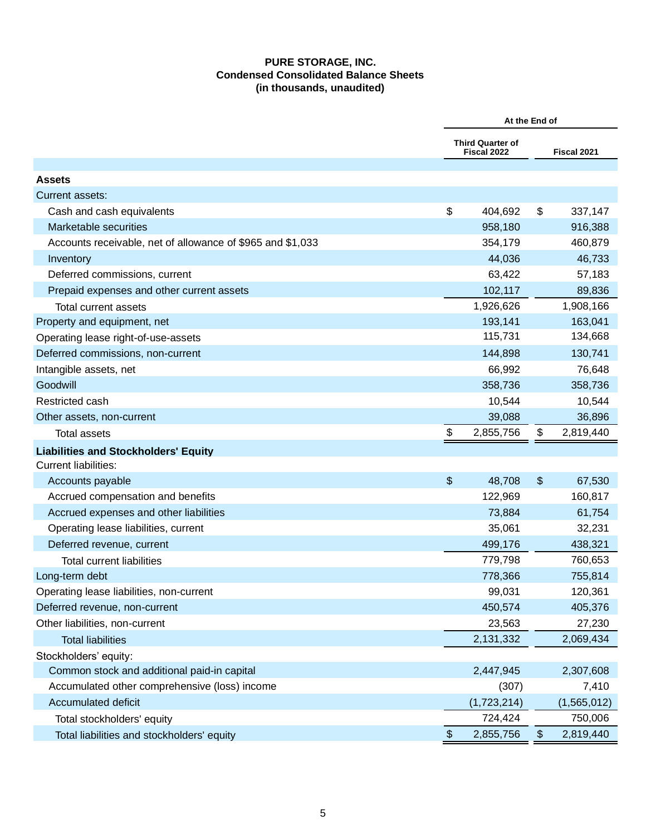# **PURE STORAGE, INC. Condensed Consolidated Balance Sheets (in thousands, unaudited)**

|                                                            | At the End of |                                        |               |             |  |
|------------------------------------------------------------|---------------|----------------------------------------|---------------|-------------|--|
|                                                            |               | <b>Third Quarter of</b><br>Fiscal 2022 |               | Fiscal 2021 |  |
| <b>Assets</b>                                              |               |                                        |               |             |  |
| Current assets:                                            |               |                                        |               |             |  |
| Cash and cash equivalents                                  | \$            | 404,692                                | \$            | 337,147     |  |
| Marketable securities                                      |               | 958,180                                |               | 916,388     |  |
| Accounts receivable, net of allowance of \$965 and \$1,033 |               | 354,179                                |               | 460,879     |  |
| Inventory                                                  |               | 44,036                                 |               | 46,733      |  |
| Deferred commissions, current                              |               | 63,422                                 |               | 57,183      |  |
| Prepaid expenses and other current assets                  |               | 102,117                                |               | 89,836      |  |
| <b>Total current assets</b>                                |               | 1,926,626                              |               | 1,908,166   |  |
| Property and equipment, net                                |               | 193,141                                |               | 163,041     |  |
| Operating lease right-of-use-assets                        |               | 115,731                                |               | 134,668     |  |
| Deferred commissions, non-current                          |               | 144,898                                |               | 130,741     |  |
| Intangible assets, net                                     |               | 66,992                                 |               | 76,648      |  |
| Goodwill                                                   |               | 358,736                                |               | 358,736     |  |
| Restricted cash                                            |               | 10,544                                 |               | 10,544      |  |
| Other assets, non-current                                  |               | 39,088                                 |               | 36,896      |  |
| <b>Total assets</b>                                        | \$            | 2,855,756                              | \$            | 2,819,440   |  |
| <b>Liabilities and Stockholders' Equity</b>                |               |                                        |               |             |  |
| <b>Current liabilities:</b>                                |               |                                        |               |             |  |
| Accounts payable                                           | \$            | 48,708                                 | \$            | 67,530      |  |
| Accrued compensation and benefits                          |               | 122,969                                |               | 160,817     |  |
| Accrued expenses and other liabilities                     |               | 73,884                                 |               | 61,754      |  |
| Operating lease liabilities, current                       |               | 35,061                                 |               | 32,231      |  |
| Deferred revenue, current                                  |               | 499,176                                |               | 438,321     |  |
| <b>Total current liabilities</b>                           |               | 779,798                                |               | 760,653     |  |
| Long-term debt                                             |               | 778,366                                |               | 755,814     |  |
| Operating lease liabilities, non-current                   |               | 99,031                                 |               | 120,361     |  |
| Deferred revenue, non-current                              |               | 450,574                                |               | 405,376     |  |
| Other liabilities, non-current                             |               | 23,563                                 |               | 27,230      |  |
| <b>Total liabilities</b>                                   |               | 2,131,332                              |               | 2,069,434   |  |
| Stockholders' equity:                                      |               |                                        |               |             |  |
| Common stock and additional paid-in capital                |               | 2,447,945                              |               | 2,307,608   |  |
| Accumulated other comprehensive (loss) income              |               | (307)                                  |               | 7,410       |  |
| Accumulated deficit                                        |               | (1,723,214)                            |               | (1,565,012) |  |
| Total stockholders' equity                                 |               | 724,424                                |               | 750,006     |  |
| Total liabilities and stockholders' equity                 | \$            | 2,855,756                              | $\frac{1}{2}$ | 2,819,440   |  |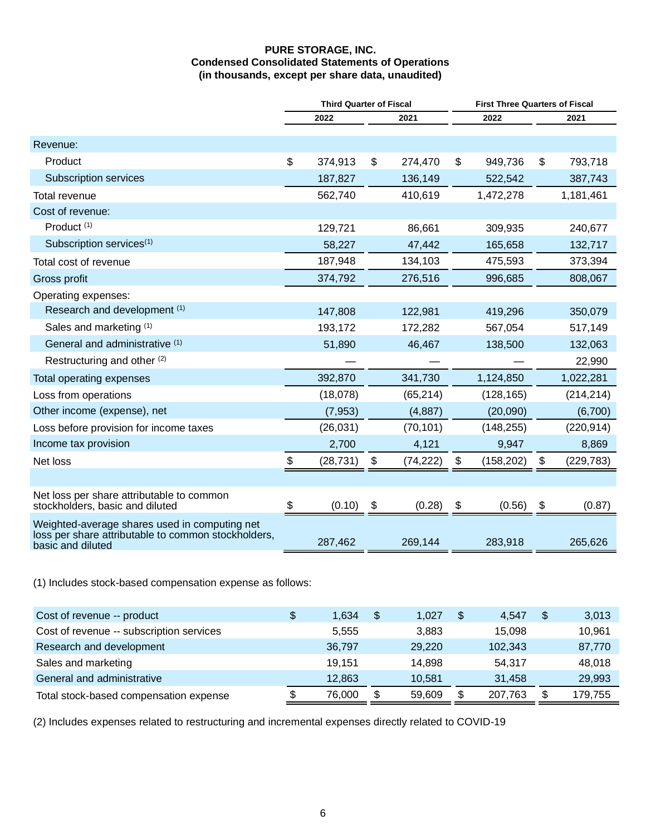## **PURE STORAGE, INC. Condensed Consolidated Statements of Operations (in thousands, except per share data, unaudited)**

|                                                                                                                           | <b>Third Quarter of Fiscal</b> |           |    |           |      | <b>First Three Quarters of Fiscal</b> |      |            |  |  |  |
|---------------------------------------------------------------------------------------------------------------------------|--------------------------------|-----------|----|-----------|------|---------------------------------------|------|------------|--|--|--|
|                                                                                                                           | 2022<br>2021                   |           |    |           | 2022 |                                       | 2021 |            |  |  |  |
| Revenue:                                                                                                                  |                                |           |    |           |      |                                       |      |            |  |  |  |
| Product                                                                                                                   | \$                             | 374,913   | \$ | 274,470   | \$   | 949,736                               | \$   | 793,718    |  |  |  |
| <b>Subscription services</b>                                                                                              |                                | 187,827   |    | 136,149   |      | 522,542                               |      | 387,743    |  |  |  |
| Total revenue                                                                                                             |                                | 562,740   |    | 410,619   |      | 1,472,278                             |      | 1,181,461  |  |  |  |
| Cost of revenue:                                                                                                          |                                |           |    |           |      |                                       |      |            |  |  |  |
| Product <sup>(1)</sup>                                                                                                    |                                | 129,721   |    | 86,661    |      | 309,935                               |      | 240,677    |  |  |  |
| Subscription services <sup>(1)</sup>                                                                                      |                                | 58,227    |    | 47,442    |      | 165,658                               |      | 132,717    |  |  |  |
| Total cost of revenue                                                                                                     |                                | 187,948   |    | 134,103   |      | 475,593                               |      | 373,394    |  |  |  |
| Gross profit                                                                                                              |                                | 374,792   |    | 276,516   |      | 996,685                               |      | 808,067    |  |  |  |
| Operating expenses:                                                                                                       |                                |           |    |           |      |                                       |      |            |  |  |  |
| Research and development (1)                                                                                              |                                | 147,808   |    | 122,981   |      | 419,296                               |      | 350,079    |  |  |  |
| Sales and marketing (1)                                                                                                   |                                | 193,172   |    | 172,282   |      | 567,054                               |      | 517,149    |  |  |  |
| General and administrative (1)                                                                                            |                                | 51,890    |    | 46,467    |      | 138,500                               |      | 132,063    |  |  |  |
| Restructuring and other (2)                                                                                               |                                |           |    |           |      |                                       |      | 22,990     |  |  |  |
| Total operating expenses                                                                                                  |                                | 392,870   |    | 341,730   |      | 1,124,850                             |      | 1,022,281  |  |  |  |
| Loss from operations                                                                                                      |                                | (18,078)  |    | (65, 214) |      | (128, 165)                            |      | (214, 214) |  |  |  |
| Other income (expense), net                                                                                               |                                | (7, 953)  |    | (4,887)   |      | (20,090)                              |      | (6,700)    |  |  |  |
| Loss before provision for income taxes                                                                                    |                                | (26, 031) |    | (70, 101) |      | (148, 255)                            |      | (220, 914) |  |  |  |
| Income tax provision                                                                                                      |                                | 2,700     |    | 4,121     |      | 9,947                                 |      | 8,869      |  |  |  |
| Net loss                                                                                                                  | \$                             | (28, 731) | \$ | (74, 222) | \$   | (158, 202)                            | \$   | (229, 783) |  |  |  |
|                                                                                                                           |                                |           |    |           |      |                                       |      |            |  |  |  |
| Net loss per share attributable to common<br>stockholders, basic and diluted                                              | \$                             | (0.10)    | \$ | (0.28)    | \$   | (0.56)                                | \$   | (0.87)     |  |  |  |
| Weighted-average shares used in computing net<br>loss per share attributable to common stockholders,<br>basic and diluted |                                | 287,462   |    | 269,144   |      | 283,918                               |      | 265,626    |  |  |  |
|                                                                                                                           |                                |           |    |           |      |                                       |      |            |  |  |  |

(1) Includes stock-based compensation expense as follows:

| Cost of revenue -- product               | 1.634  | $\mathfrak{F}$ | 1.027  | \$<br>4.547 | 3,013   |
|------------------------------------------|--------|----------------|--------|-------------|---------|
| Cost of revenue -- subscription services | 5,555  |                | 3.883  | 15.098      | 10,961  |
| Research and development                 | 36,797 |                | 29,220 | 102,343     | 87,770  |
| Sales and marketing                      | 19.151 |                | 14.898 | 54.317      | 48,018  |
| General and administrative               | 12.863 |                | 10.581 | 31.458      | 29,993  |
| Total stock-based compensation expense   | 76,000 | \$             | 59,609 | 207,763     | 179,755 |

(2) Includes expenses related to restructuring and incremental expenses directly related to COVID-19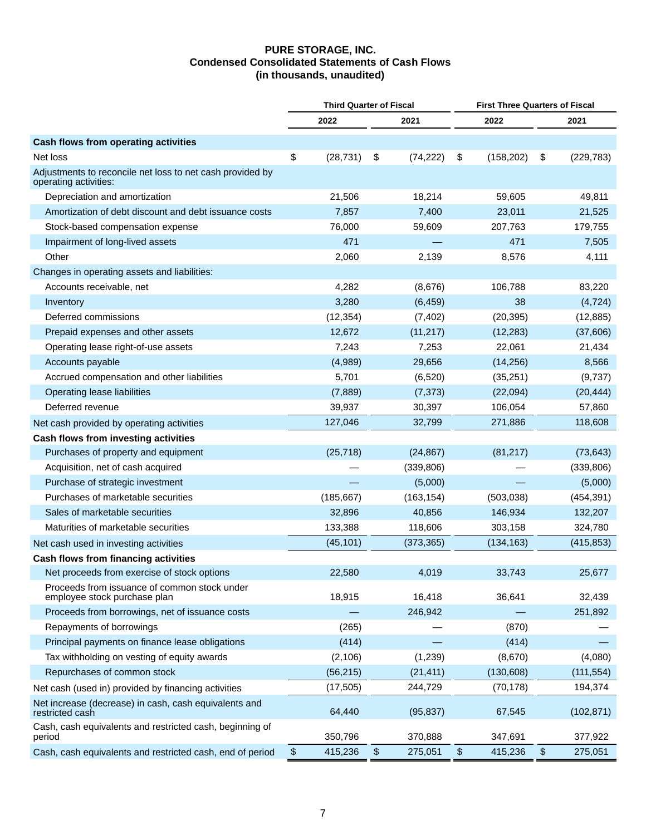## **PURE STORAGE, INC. Condensed Consolidated Statements of Cash Flows (in thousands, unaudited)**

|                                                                                    | <b>Third Quarter of Fiscal</b> |              |    |            |       | <b>First Three Quarters of Fiscal</b> |    |            |  |  |
|------------------------------------------------------------------------------------|--------------------------------|--------------|----|------------|-------|---------------------------------------|----|------------|--|--|
|                                                                                    |                                | 2022<br>2021 |    |            |       | 2022                                  |    | 2021       |  |  |
| Cash flows from operating activities                                               |                                |              |    |            |       |                                       |    |            |  |  |
| Net loss                                                                           | \$                             | (28, 731)    | \$ | (74, 222)  | \$    | (158, 202)                            | \$ | (229, 783) |  |  |
| Adjustments to reconcile net loss to net cash provided by<br>operating activities: |                                |              |    |            |       |                                       |    |            |  |  |
| Depreciation and amortization                                                      |                                | 21,506       |    | 18,214     |       | 59,605                                |    | 49,811     |  |  |
| Amortization of debt discount and debt issuance costs                              |                                | 7,857        |    | 7,400      |       | 23,011                                |    | 21,525     |  |  |
| Stock-based compensation expense                                                   |                                | 76,000       |    | 59,609     |       | 207,763                               |    | 179,755    |  |  |
| Impairment of long-lived assets                                                    |                                | 471          |    |            |       | 471                                   |    | 7,505      |  |  |
| Other                                                                              |                                | 2,060        |    | 2,139      |       | 8,576                                 |    | 4,111      |  |  |
| Changes in operating assets and liabilities:                                       |                                |              |    |            |       |                                       |    |            |  |  |
| Accounts receivable, net                                                           |                                | 4,282        |    | (8,676)    |       | 106,788                               |    | 83,220     |  |  |
| Inventory                                                                          |                                | 3,280        |    | (6, 459)   |       | 38                                    |    | (4, 724)   |  |  |
| Deferred commissions                                                               |                                | (12, 354)    |    | (7, 402)   |       | (20, 395)                             |    | (12, 885)  |  |  |
| Prepaid expenses and other assets                                                  |                                | 12,672       |    | (11, 217)  |       | (12, 283)                             |    | (37,606)   |  |  |
| Operating lease right-of-use assets                                                |                                | 7,243        |    | 7,253      |       | 22,061                                |    | 21,434     |  |  |
| Accounts payable                                                                   |                                | (4,989)      |    | 29,656     |       | (14, 256)                             |    | 8,566      |  |  |
| Accrued compensation and other liabilities                                         |                                | 5,701        |    | (6, 520)   |       | (35, 251)                             |    | (9,737)    |  |  |
| Operating lease liabilities                                                        |                                | (7,889)      |    | (7, 373)   |       | (22,094)                              |    | (20, 444)  |  |  |
| Deferred revenue                                                                   |                                | 39,937       |    | 30,397     |       | 106,054                               |    | 57,860     |  |  |
| Net cash provided by operating activities                                          |                                | 127,046      |    | 32,799     |       | 271,886                               |    | 118,608    |  |  |
| Cash flows from investing activities                                               |                                |              |    |            |       |                                       |    |            |  |  |
| Purchases of property and equipment                                                |                                | (25, 718)    |    | (24, 867)  |       | (81, 217)                             |    | (73, 643)  |  |  |
| Acquisition, net of cash acquired                                                  |                                |              |    | (339, 806) |       |                                       |    | (339, 806) |  |  |
| Purchase of strategic investment                                                   |                                |              |    | (5,000)    |       |                                       |    | (5,000)    |  |  |
| Purchases of marketable securities                                                 |                                | (185, 667)   |    | (163, 154) |       | (503,038)                             |    | (454, 391) |  |  |
| Sales of marketable securities                                                     |                                | 32,896       |    | 40,856     |       | 146,934                               |    | 132,207    |  |  |
| Maturities of marketable securities                                                |                                | 133,388      |    | 118,606    |       | 303,158                               |    | 324,780    |  |  |
| Net cash used in investing activities                                              |                                | (45, 101)    |    | (373, 365) |       | (134, 163)                            |    | (415, 853) |  |  |
| Cash flows from financing activities                                               |                                |              |    |            |       |                                       |    |            |  |  |
| Net proceeds from exercise of stock options                                        |                                | 22,580       |    | 4,019      |       | 33,743                                |    | 25,677     |  |  |
| Proceeds from issuance of common stock under<br>employee stock purchase plan       |                                | 18,915       |    | 16,418     |       | 36,641                                |    | 32,439     |  |  |
| Proceeds from borrowings, net of issuance costs                                    |                                |              |    | 246,942    |       |                                       |    | 251,892    |  |  |
| Repayments of borrowings                                                           |                                | (265)        |    |            |       | (870)                                 |    |            |  |  |
| Principal payments on finance lease obligations                                    |                                | (414)        |    |            |       | (414)                                 |    |            |  |  |
| Tax withholding on vesting of equity awards                                        |                                | (2, 106)     |    | (1,239)    |       | (8,670)                               |    | (4,080)    |  |  |
| Repurchases of common stock                                                        |                                | (56, 215)    |    | (21, 411)  |       | (130, 608)                            |    | (111, 554) |  |  |
| Net cash (used in) provided by financing activities                                |                                | (17, 505)    |    | 244,729    |       | (70, 178)                             |    | 194,374    |  |  |
| Net increase (decrease) in cash, cash equivalents and<br>restricted cash           |                                | 64,440       |    | (95, 837)  |       | 67,545                                |    | (102, 871) |  |  |
| Cash, cash equivalents and restricted cash, beginning of<br>period                 |                                | 350,796      |    | 370,888    |       | 347,691                               |    | 377,922    |  |  |
| Cash, cash equivalents and restricted cash, end of period                          | $\boldsymbol{\$}$              | 415,236      | \$ | 275,051    | $\$\$ | 415,236                               | \$ | 275,051    |  |  |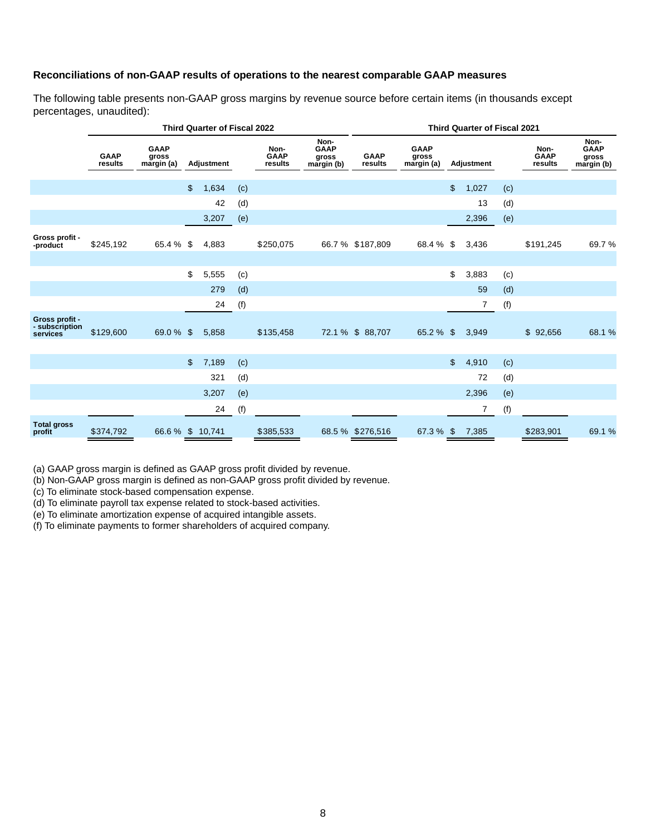#### **Reconciliations of non-GAAP results of operations to the nearest comparable GAAP measures**

The following table presents non-GAAP gross margins by revenue source before certain items (in thousands except percentages, unaudited):

|                                              | <b>Third Quarter of Fiscal 2022</b> |                                    |                |                   |     |                                |                                            |                        | <b>Third Quarter of Fiscal 2021</b> |                |                   |     |                                |                                            |  |  |
|----------------------------------------------|-------------------------------------|------------------------------------|----------------|-------------------|-----|--------------------------------|--------------------------------------------|------------------------|-------------------------------------|----------------|-------------------|-----|--------------------------------|--------------------------------------------|--|--|
|                                              | <b>GAAP</b><br>results              | <b>GAAP</b><br>gross<br>margin (a) |                | <b>Adjustment</b> |     | Non-<br><b>GAAP</b><br>results | Non-<br><b>GAAP</b><br>gross<br>margin (b) | <b>GAAP</b><br>results | <b>GAAP</b><br>gross<br>margin (a)  |                | <b>Adjustment</b> |     | Non-<br><b>GAAP</b><br>results | Non-<br><b>GAAP</b><br>gross<br>margin (b) |  |  |
|                                              |                                     |                                    | $\frac{2}{3}$  | 1,634             | (c) |                                |                                            |                        |                                     | $\mathfrak{L}$ | 1,027             | (c) |                                |                                            |  |  |
|                                              |                                     |                                    |                | 42                | (d) |                                |                                            |                        |                                     |                | 13                | (d) |                                |                                            |  |  |
|                                              |                                     |                                    |                |                   |     |                                |                                            |                        |                                     |                |                   |     |                                |                                            |  |  |
|                                              |                                     |                                    |                | 3,207             | (e) |                                |                                            |                        |                                     |                | 2,396             | (e) |                                |                                            |  |  |
| Gross profit -<br>-product                   | \$245,192                           | 65.4 %                             | \$             | 4,883             |     | \$250,075                      |                                            | 66.7 % \$187,809       | 68.4 %                              | \$             | 3,436             |     | \$191,245                      | 69.7%                                      |  |  |
|                                              |                                     |                                    |                |                   |     |                                |                                            |                        |                                     |                |                   |     |                                |                                            |  |  |
|                                              |                                     |                                    | \$             | 5,555             | (c) |                                |                                            |                        |                                     | \$             | 3,883             | (c) |                                |                                            |  |  |
|                                              |                                     |                                    |                | 279               | (d) |                                |                                            |                        |                                     |                | 59                | (d) |                                |                                            |  |  |
|                                              |                                     |                                    |                | 24                | (f) |                                |                                            |                        |                                     |                | 7                 | (f) |                                |                                            |  |  |
| Gross profit -<br>- subscription<br>services | \$129,600                           | 69.0 % \$                          |                | 5,858             |     | \$135,458                      |                                            | 72.1 % \$ 88,707       | 65.2 $%$ \$                         |                | 3,949             |     | \$<br>92,656                   | 68.1 %                                     |  |  |
|                                              |                                     |                                    | $\mathfrak{L}$ | 7,189             | (c) |                                |                                            |                        |                                     | $\mathfrak{S}$ | 4,910             | (c) |                                |                                            |  |  |
|                                              |                                     |                                    |                | 321               | (d) |                                |                                            |                        |                                     |                | 72                | (d) |                                |                                            |  |  |
|                                              |                                     |                                    |                | 3,207             | (e) |                                |                                            |                        |                                     |                | 2,396             | (e) |                                |                                            |  |  |
|                                              |                                     |                                    |                | 24                |     |                                |                                            |                        |                                     |                | 7                 |     |                                |                                            |  |  |
|                                              |                                     |                                    |                |                   | (f) |                                |                                            |                        |                                     |                |                   | (f) |                                |                                            |  |  |
| <b>Total gross</b><br>profit                 | \$374,792                           | 66.6 % \$ 10,741                   |                |                   |     | \$385,533                      |                                            | 68.5 % \$276,516       | 67.3 % \$                           |                | 7,385             |     | \$283,901                      | 69.1 %                                     |  |  |

(a) GAAP gross margin is defined as GAAP gross profit divided by revenue.

(b) Non-GAAP gross margin is defined as non-GAAP gross profit divided by revenue.

(c) To eliminate stock-based compensation expense.

(d) To eliminate payroll tax expense related to stock-based activities.

(e) To eliminate amortization expense of acquired intangible assets.

(f) To eliminate payments to former shareholders of acquired company.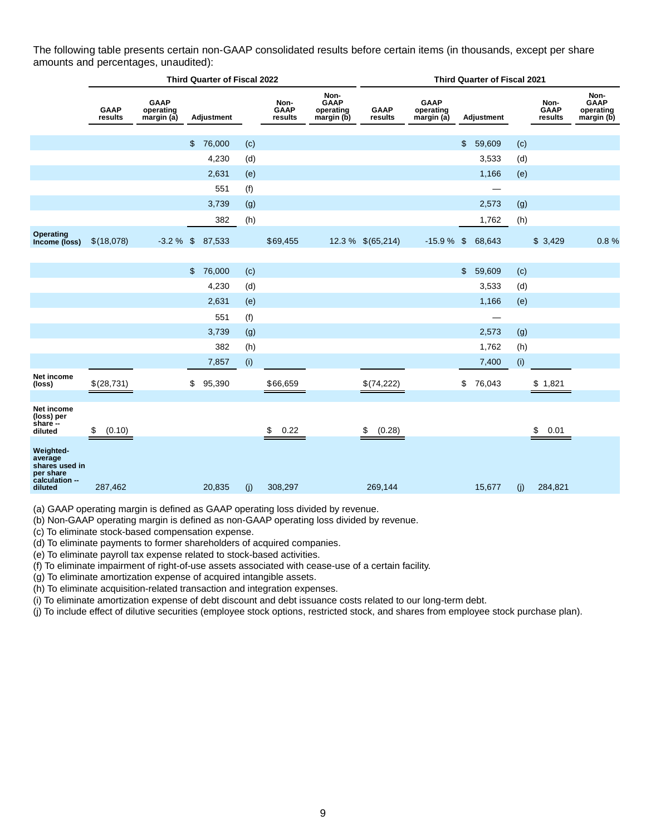The following table presents certain non-GAAP consolidated results before certain items (in thousands, except per share amounts and percentages, unaudited):

|                                                                                  | <b>Third Quarter of Fiscal 2022</b> |                                       |                |            |     |                                |                                                | <b>Third Quarter of Fiscal 2021</b> |                                        |    |            |     |                                |                                                |  |  |
|----------------------------------------------------------------------------------|-------------------------------------|---------------------------------------|----------------|------------|-----|--------------------------------|------------------------------------------------|-------------------------------------|----------------------------------------|----|------------|-----|--------------------------------|------------------------------------------------|--|--|
|                                                                                  | <b>GAAP</b><br>results              | <b>GAAP</b><br>operating<br>margin(a) |                | Adjustment |     | Non-<br><b>GAAP</b><br>results | Non-<br><b>GAAP</b><br>operating<br>margin (b) | GAAP<br>results                     | <b>GAAP</b><br>operating<br>margin (a) |    | Adjustment |     | Non-<br><b>GAAP</b><br>results | Non-<br><b>GAAP</b><br>operating<br>margin (b) |  |  |
|                                                                                  |                                     |                                       |                |            |     |                                |                                                |                                     |                                        |    |            |     |                                |                                                |  |  |
|                                                                                  |                                     |                                       | \$             | 76,000     | (c) |                                |                                                |                                     |                                        | \$ | 59,609     | (c) |                                |                                                |  |  |
|                                                                                  |                                     |                                       |                | 4,230      | (d) |                                |                                                |                                     |                                        |    | 3,533      | (d) |                                |                                                |  |  |
|                                                                                  |                                     |                                       |                | 2,631      | (e) |                                |                                                |                                     |                                        |    | 1,166      | (e) |                                |                                                |  |  |
|                                                                                  |                                     |                                       |                | 551        | (f) |                                |                                                |                                     |                                        |    | —          |     |                                |                                                |  |  |
|                                                                                  |                                     |                                       |                | 3,739      | (g) |                                |                                                |                                     |                                        |    | 2,573      | (g) |                                |                                                |  |  |
|                                                                                  |                                     |                                       |                | 382        | (h) |                                |                                                |                                     |                                        |    | 1,762      | (h) |                                |                                                |  |  |
| Operating<br>Income (loss)                                                       | \$(18,078)                          | $-3.2%$                               | $\mathfrak{F}$ | 87,533     |     | \$69,455                       |                                                | 12.3 % \$(65,214)                   | $-15.9%$                               | \$ | 68,643     |     | \$3,429                        | 0.8%                                           |  |  |
|                                                                                  |                                     |                                       |                |            |     |                                |                                                |                                     |                                        |    |            |     |                                |                                                |  |  |
|                                                                                  |                                     |                                       | \$             | 76,000     | (c) |                                |                                                |                                     |                                        | \$ | 59,609     | (c) |                                |                                                |  |  |
|                                                                                  |                                     |                                       |                | 4,230      | (d) |                                |                                                |                                     |                                        |    | 3,533      | (d) |                                |                                                |  |  |
|                                                                                  |                                     |                                       |                | 2,631      | (e) |                                |                                                |                                     |                                        |    | 1,166      | (e) |                                |                                                |  |  |
|                                                                                  |                                     |                                       |                | 551        | (f) |                                |                                                |                                     |                                        |    |            |     |                                |                                                |  |  |
|                                                                                  |                                     |                                       |                | 3,739      | (g) |                                |                                                |                                     |                                        |    | 2,573      | (g) |                                |                                                |  |  |
|                                                                                  |                                     |                                       |                | 382        | (h) |                                |                                                |                                     |                                        |    | 1,762      | (h) |                                |                                                |  |  |
|                                                                                  |                                     |                                       |                | 7,857      | (i) |                                |                                                |                                     |                                        |    | 7,400      | (i) |                                |                                                |  |  |
| Net income<br>(loss)                                                             | \$(28,731)                          |                                       | \$             | 95,390     |     | \$66,659                       |                                                | \$(74,222)                          |                                        | \$ | 76,043     |     | \$1,821                        |                                                |  |  |
| Net income<br>(loss) per<br>share --<br>diluted                                  | (0.10)<br>\$                        |                                       |                |            |     | \$<br>0.22                     |                                                | \$<br>(0.28)                        |                                        |    |            |     | \$<br>0.01                     |                                                |  |  |
| Weighted-<br>average<br>shares used in<br>per share<br>calculation --<br>diluted | 287,462                             |                                       |                | 20,835     | (j) | 308,297                        |                                                | 269,144                             |                                        |    | 15,677     | (j) | 284,821                        |                                                |  |  |

(a) GAAP operating margin is defined as GAAP operating loss divided by revenue.

(b) Non-GAAP operating margin is defined as non-GAAP operating loss divided by revenue.

(c) To eliminate stock-based compensation expense.

(d) To eliminate payments to former shareholders of acquired companies.

(e) To eliminate payroll tax expense related to stock-based activities.

(f) To eliminate impairment of right-of-use assets associated with cease-use of a certain facility.

(g) To eliminate amortization expense of acquired intangible assets.

(h) To eliminate acquisition-related transaction and integration expenses.

(i) To eliminate amortization expense of debt discount and debt issuance costs related to our long-term debt.

(j) To include effect of dilutive securities (employee stock options, restricted stock, and shares from employee stock purchase plan).